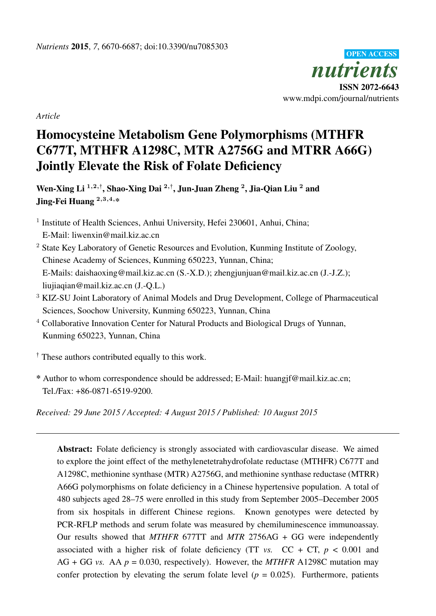

*Article*

# Homocysteine Metabolism Gene Polymorphisms (MTHFR C677T, MTHFR A1298C, MTR A2756G and MTRR A66G) Jointly Elevate the Risk of Folate Deficiency

Wen-Xing Li  $^{1,2,\dagger},$  Shao-Xing Dai  $^{2,\dagger},$  Jun-Juan Zheng  $^2,$  Jia-Qian Liu  $^2$  and Jing-Fei Huang <sup>2</sup>,3,4,\*

<sup>1</sup> Institute of Health Sciences, Anhui University, Hefei 230601, Anhui, China; E-Mail: liwenxin@mail.kiz.ac.cn

- <sup>2</sup> State Key Laboratory of Genetic Resources and Evolution, Kunming Institute of Zoology, Chinese Academy of Sciences, Kunming 650223, Yunnan, China; E-Mails: daishaoxing@mail.kiz.ac.cn (S.-X.D.); zhengjunjuan@mail.kiz.ac.cn (J.-J.Z.); liujiaqian@mail.kiz.ac.cn (J.-Q.L.)
- <sup>3</sup> KIZ-SU Joint Laboratory of Animal Models and Drug Development, College of Pharmaceutical Sciences, Soochow University, Kunming 650223, Yunnan, China
- <sup>4</sup> Collaborative Innovation Center for Natural Products and Biological Drugs of Yunnan, Kunming 650223, Yunnan, China

 $\dagger$  These authors contributed equally to this work.

\* Author to whom correspondence should be addressed; E-Mail: huangjf@mail.kiz.ac.cn; Tel./Fax: +86-0871-6519-9200.

*Received: 29 June 2015 / Accepted: 4 August 2015 / Published: 10 August 2015*

Abstract: Folate deficiency is strongly associated with cardiovascular disease. We aimed to explore the joint effect of the methylenetetrahydrofolate reductase (MTHFR) C677T and A1298C, methionine synthase (MTR) A2756G, and methionine synthase reductase (MTRR) A66G polymorphisms on folate deficiency in a Chinese hypertensive population. A total of 480 subjects aged 28–75 were enrolled in this study from September 2005–December 2005 from six hospitals in different Chinese regions. Known genotypes were detected by PCR-RFLP methods and serum folate was measured by chemiluminescence immunoassay. Our results showed that *MTHFR* 677TT and *MTR* 2756AG + GG were independently associated with a higher risk of folate deficiency (TT  $vs.$  CC + CT,  $p < 0.001$  and AG + GG *vs.* AA  $p = 0.030$ , respectively). However, the *MTHFR* A1298C mutation may confer protection by elevating the serum folate level ( $p = 0.025$ ). Furthermore, patients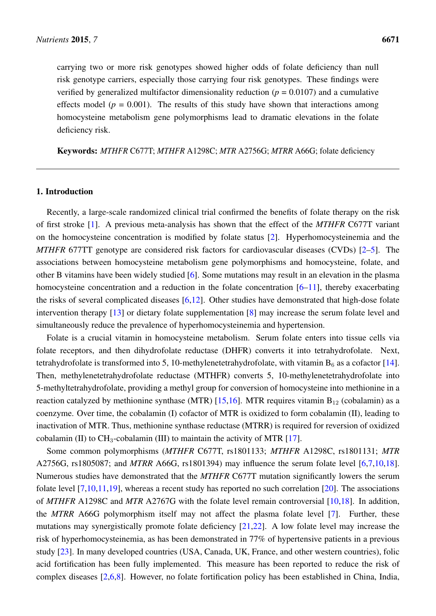carrying two or more risk genotypes showed higher odds of folate deficiency than null risk genotype carriers, especially those carrying four risk genotypes. These findings were verified by generalized multifactor dimensionality reduction ( $p = 0.0107$ ) and a cumulative effects model ( $p = 0.001$ ). The results of this study have shown that interactions among homocysteine metabolism gene polymorphisms lead to dramatic elevations in the folate deficiency risk.

Keywords: *MTHFR* C677T; *MTHFR* A1298C; *MTR* A2756G; *MTRR* A66G; folate deficiency

## 1. Introduction

Recently, a large-scale randomized clinical trial confirmed the benefits of folate therapy on the risk of first stroke [\[1\]](#page-13-0). A previous meta-analysis has shown that the effect of the *MTHFR* C677T variant on the homocysteine concentration is modified by folate status [\[2\]](#page-13-1). Hyperhomocysteinemia and the *MTHFR* 677TT genotype are considered risk factors for cardiovascular diseases (CVDs) [\[2](#page-13-1)[–5\]](#page-13-2). The associations between homocysteine metabolism gene polymorphisms and homocysteine, folate, and other B vitamins have been widely studied [\[6\]](#page-13-3). Some mutations may result in an elevation in the plasma homocysteine concentration and a reduction in the folate concentration  $[6–11]$  $[6–11]$ , thereby exacerbating the risks of several complicated diseases  $[6,12]$  $[6,12]$ . Other studies have demonstrated that high-dose folate intervention therapy [\[13\]](#page-14-2) or dietary folate supplementation [\[8\]](#page-13-4) may increase the serum folate level and simultaneously reduce the prevalence of hyperhomocysteinemia and hypertension.

Folate is a crucial vitamin in homocysteine metabolism. Serum folate enters into tissue cells via folate receptors, and then dihydrofolate reductase (DHFR) converts it into tetrahydrofolate. Next, tetrahydrofolate is transformed into 5, 10-methylenetetrahydrofolate, with vitamin  $B_6$  as a cofactor [\[14\]](#page-14-3). Then, methylenetetrahydrofolate reductase (MTHFR) converts 5, 10-methylenetetrahydrofolate into 5-methyltetrahydrofolate, providing a methyl group for conversion of homocysteine into methionine in a reaction catalyzed by methionine synthase (MTR) [\[15](#page-14-4)[,16\]](#page-14-5). MTR requires vitamin  $B_{12}$  (cobalamin) as a coenzyme. Over time, the cobalamin (I) cofactor of MTR is oxidized to form cobalamin (II), leading to inactivation of MTR. Thus, methionine synthase reductase (MTRR) is required for reversion of oxidized cobalamin (II) to  $CH_3$ -cobalamin (III) to maintain the activity of MTR [\[17\]](#page-14-6).

Some common polymorphisms (*MTHFR* C677T, rs1801133; *MTHFR* A1298C, rs1801131; *MTR* A2756G, rs1805087; and *MTRR* A66G, rs1801394) may influence the serum folate level [\[6,](#page-13-3)[7,](#page-13-5)[10,](#page-13-6)[18\]](#page-14-7). Numerous studies have demonstrated that the *MTHFR* C677T mutation significantly lowers the serum folate level  $[7,10,11,19]$  $[7,10,11,19]$  $[7,10,11,19]$  $[7,10,11,19]$ , whereas a recent study has reported no such correlation  $[20]$ . The associations of *MTHFR* A1298C and *MTR* A2767G with the folate level remain controversial [\[10](#page-13-6)[,18\]](#page-14-7). In addition, the *MTRR* A66G polymorphism itself may not affect the plasma folate level [\[7\]](#page-13-5). Further, these mutations may synergistically promote folate deficiency [\[21,](#page-15-0)[22\]](#page-15-1). A low folate level may increase the risk of hyperhomocysteinemia, as has been demonstrated in 77% of hypertensive patients in a previous study [\[23\]](#page-15-2). In many developed countries (USA, Canada, UK, France, and other western countries), folic acid fortification has been fully implemented. This measure has been reported to reduce the risk of complex diseases [\[2](#page-13-1)[,6](#page-13-3)[,8\]](#page-13-4). However, no folate fortification policy has been established in China, India,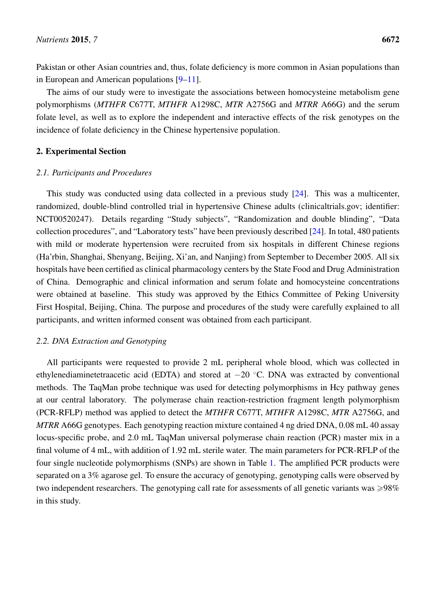Pakistan or other Asian countries and, thus, folate deficiency is more common in Asian populations than in European and American populations [\[9–](#page-13-7)[11\]](#page-14-0).

The aims of our study were to investigate the associations between homocysteine metabolism gene polymorphisms (*MTHFR* C677T, *MTHFR* A1298C, *MTR* A2756G and *MTRR* A66G) and the serum folate level, as well as to explore the independent and interactive effects of the risk genotypes on the incidence of folate deficiency in the Chinese hypertensive population.

## 2. Experimental Section

## *2.1. Participants and Procedures*

This study was conducted using data collected in a previous study [\[24\]](#page-15-3). This was a multicenter, randomized, double-blind controlled trial in hypertensive Chinese adults (clinicaltrials.gov; identifier: NCT00520247). Details regarding "Study subjects", "Randomization and double blinding", "Data collection procedures", and "Laboratory tests" have been previously described [\[24\]](#page-15-3). In total, 480 patients with mild or moderate hypertension were recruited from six hospitals in different Chinese regions (Ha'rbin, Shanghai, Shenyang, Beijing, Xi'an, and Nanjing) from September to December 2005. All six hospitals have been certified as clinical pharmacology centers by the State Food and Drug Administration of China. Demographic and clinical information and serum folate and homocysteine concentrations were obtained at baseline. This study was approved by the Ethics Committee of Peking University First Hospital, Beijing, China. The purpose and procedures of the study were carefully explained to all participants, and written informed consent was obtained from each participant.

## *2.2. DNA Extraction and Genotyping*

All participants were requested to provide 2 mL peripheral whole blood, which was collected in ethylenediaminetetraacetic acid (EDTA) and stored at  $-20$  °C. DNA was extracted by conventional methods. The TaqMan probe technique was used for detecting polymorphisms in Hcy pathway genes at our central laboratory. The polymerase chain reaction-restriction fragment length polymorphism (PCR-RFLP) method was applied to detect the *MTHFR* C677T, *MTHFR* A1298C, *MTR* A2756G, and *MTRR* A66G genotypes. Each genotyping reaction mixture contained 4 ng dried DNA, 0.08 mL 40 assay locus-specific probe, and 2.0 mL TaqMan universal polymerase chain reaction (PCR) master mix in a final volume of 4 mL, with addition of 1.92 mL sterile water. The main parameters for PCR-RFLP of the four single nucleotide polymorphisms (SNPs) are shown in Table [1.](#page-3-0) The amplified PCR products were separated on a 3% agarose gel. To ensure the accuracy of genotyping, genotyping calls were observed by two independent researchers. The genotyping call rate for assessments of all genetic variants was  $\geq 98\%$ in this study.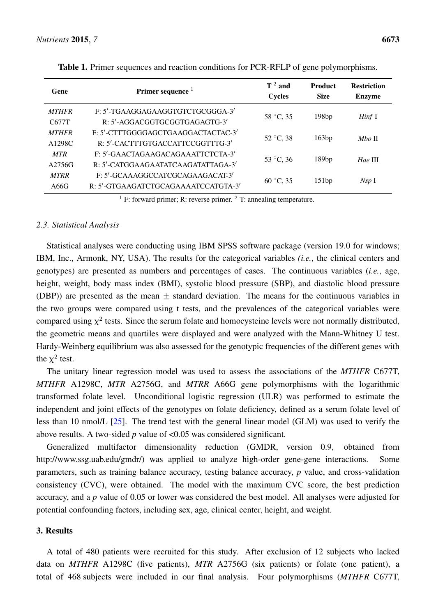<span id="page-3-0"></span>

| Gene         | Primer sequence $1$                 | $T^2$ and<br><b>Cycles</b> | <b>Product</b><br><b>Size</b> | <b>Restriction</b><br><b>Enzyme</b> |  |
|--------------|-------------------------------------|----------------------------|-------------------------------|-------------------------------------|--|
| <b>MTHFR</b> | F: 5'-TGAAGGAGAAGGTGTCTGCGGGA-3'    |                            | 198bp                         |                                     |  |
| C677T        | R: 5'-AGGACGGTGCGGTGAGAGTG-3'       | 58 °C, 35                  |                               | Hinf I                              |  |
| <b>MTHFR</b> | F: 5'-CTTTGGGGAGCTGAAGGACTACTAC-3'  | $52 °C$ , 38               | 163bp                         | <i>Mbo</i> II                       |  |
| A1298C       | R: 5'-CACTTTGTGACCATTCCGGTTTG-3'    |                            |                               |                                     |  |
| <b>MTR</b>   | F: 5'-GAACTAGAAGACAGAAATTCTCTA-3'   | 53 °C, 36                  | 189bp                         | $Hae$ III                           |  |
| A2756G       | R: 5'-CATGGAAGAATATCAAGATATTAGA-3'  |                            |                               |                                     |  |
| <b>MTRR</b>  | F: 5'-GCAAAGGCCATCGCAGAAGACAT-3'    | $60^{\circ}$ C, 35         | 151bp                         | Nsp <sub>I</sub>                    |  |
| A66G         | R: 5'-GTGAAGATCTGCAGAAAATCCATGTA-3' |                            |                               |                                     |  |

Table 1. Primer sequences and reaction conditions for PCR-RFLP of gene polymorphisms.

<sup>1</sup> F: forward primer; R: reverse primer. <sup>2</sup> T: annealing temperature.

#### *2.3. Statistical Analysis*

Statistical analyses were conducting using IBM SPSS software package (version 19.0 for windows; IBM, Inc., Armonk, NY, USA). The results for the categorical variables *(i.e.*, the clinical centers and genotypes) are presented as numbers and percentages of cases. The continuous variables (*i.e.*, age, height, weight, body mass index (BMI), systolic blood pressure (SBP), and diastolic blood pressure (DBP)) are presented as the mean  $\pm$  standard deviation. The means for the continuous variables in the two groups were compared using t tests, and the prevalences of the categorical variables were compared using  $\chi^2$  tests. Since the serum folate and homocysteine levels were not normally distributed, the geometric means and quartiles were displayed and were analyzed with the Mann-Whitney U test. Hardy-Weinberg equilibrium was also assessed for the genotypic frequencies of the different genes with the  $\chi^2$  test.

The unitary linear regression model was used to assess the associations of the *MTHFR* C677T, *MTHFR* A1298C, *MTR* A2756G, and *MTRR* A66G gene polymorphisms with the logarithmic transformed folate level. Unconditional logistic regression (ULR) was performed to estimate the independent and joint effects of the genotypes on folate deficiency, defined as a serum folate level of less than 10 nmol/L [\[25\]](#page-15-4). The trend test with the general linear model (GLM) was used to verify the above results. A two-sided *p* value of <0.05 was considered significant.

Generalized multifactor dimensionality reduction (GMDR, version 0.9, obtained from http://www.ssg.uab.edu/gmdr/) was applied to analyze high-order gene-gene interactions. Some parameters, such as training balance accuracy, testing balance accuracy, *p* value, and cross-validation consistency (CVC), were obtained. The model with the maximum CVC score, the best prediction accuracy, and a *p* value of 0.05 or lower was considered the best model. All analyses were adjusted for potential confounding factors, including sex, age, clinical center, height, and weight.

## 3. Results

A total of 480 patients were recruited for this study. After exclusion of 12 subjects who lacked data on *MTHFR* A1298C (five patients), *MTR* A2756G (six patients) or folate (one patient), a total of 468 subjects were included in our final analysis. Four polymorphisms (*MTHFR* C677T,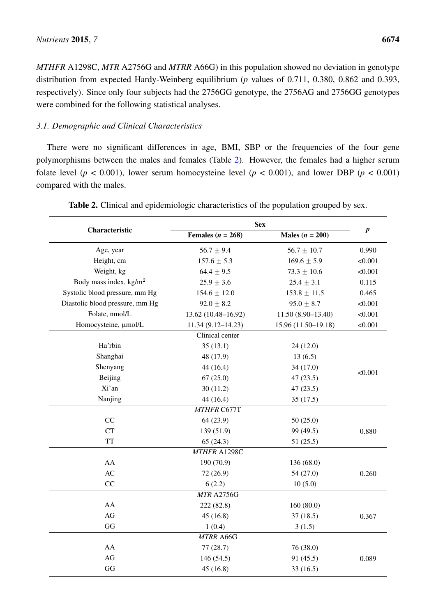*MTHFR* A1298C, *MTR* A2756G and *MTRR* A66G) in this population showed no deviation in genotype distribution from expected Hardy-Weinberg equilibrium (*p* values of 0.711, 0.380, 0.862 and 0.393, respectively). Since only four subjects had the 2756GG genotype, the 2756AG and 2756GG genotypes were combined for the following statistical analyses.

# *3.1. Demographic and Clinical Characteristics*

There were no significant differences in age, BMI, SBP or the frequencies of the four gene polymorphisms between the males and females (Table [2\)](#page-4-0). However, the females had a higher serum folate level ( $p < 0.001$ ), lower serum homocysteine level ( $p < 0.001$ ), and lower DBP ( $p < 0.001$ ) compared with the males.

<span id="page-4-0"></span>

|                                  | <b>Sex</b>            |                     |           |
|----------------------------------|-----------------------|---------------------|-----------|
| Characteristic                   | Females ( $n = 268$ ) | Males $(n = 200)$   | $\pmb{p}$ |
| Age, year                        | $56.7 \pm 9.4$        | $56.7 \pm 10.7$     | 0.990     |
| Height, cm                       | $157.6 \pm 5.3$       | $169.6 \pm 5.9$     | < 0.001   |
| Weight, kg                       | $64.4 \pm 9.5$        | $73.3 \pm 10.6$     | < 0.001   |
| Body mass index, $\text{kg/m}^2$ | $25.9 \pm 3.6$        | $25.4 \pm 3.1$      | 0.115     |
| Systolic blood pressure, mm Hg   | $154.6 \pm 12.0$      | $153.8 \pm 11.5$    | 0.465     |
| Diastolic blood pressure, mm Hg  | $92.0 \pm 8.2$        | $95.0 \pm 8.7$      | < 0.001   |
| Folate, nmol/L                   | 13.62 (10.48-16.92)   | $11.50(8.90-13.40)$ | < 0.001   |
| Homocysteine, µmol/L             | $11.34(9.12 - 14.23)$ | 15.96 (11.50-19.18) | < 0.001   |
|                                  | Clinical center       |                     |           |
| Ha'rbin                          | 35(13.1)              | 24 (12.0)           |           |
| Shanghai                         | 48 (17.9)             | 13(6.5)             |           |
| Shenyang                         | 44(16.4)              | 34 (17.0)           |           |
| Beijing                          | 67(25.0)              | 47(23.5)            | < 0.001   |
| Xi'an                            | 30(11.2)              | 47(23.5)            |           |
| Nanjing                          | 44(16.4)              | 35(17.5)            |           |
|                                  | MTHFR C677T           |                     |           |
| CC                               | 64(23.9)              | 50(25.0)            |           |
| <b>CT</b>                        | 139 (51.9)            | 99 (49.5)           | 0.880     |
| <b>TT</b>                        | 65(24.3)              | 51(25.5)            |           |
|                                  | MTHFR A1298C          |                     |           |
| AA                               | 190 (70.9)            | 136 (68.0)          |           |
| AC                               | 72(26.9)              | 54 (27.0)           | 0.260     |
| CC                               | 6(2.2)                | 10(5.0)             |           |
|                                  | <b>MTR A2756G</b>     |                     |           |
| AA                               | 222 (82.8)            | 160(80.0)           |           |
| AG                               | 45(16.8)              | 37(18.5)            | 0.367     |
| GG                               | 1(0.4)                | 3(1.5)              |           |
|                                  | MTRR A66G             |                     |           |
| AA                               | 77(28.7)              | 76 (38.0)           |           |
| AG                               | 146 (54.5)            | 91 (45.5)           | 0.089     |
| GG                               | 45(16.8)              | 33(16.5)            |           |

Table 2. Clinical and epidemiologic characteristics of the population grouped by sex.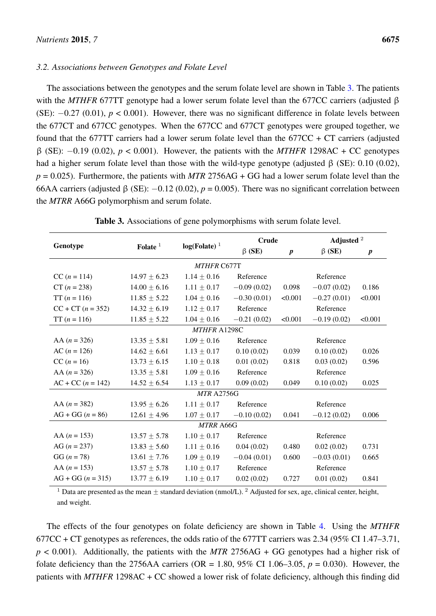#### *3.2. Associations between Genotypes and Folate Level*

The associations between the genotypes and the serum folate level are shown in Table [3.](#page-5-0) The patients with the *MTHFR* 677TT genotype had a lower serum folate level than the 677CC carriers (adjusted β (SE):  $-0.27$  (0.01),  $p < 0.001$ ). However, there was no significant difference in folate levels between the 677CT and 677CC genotypes. When the 677CC and 677CT genotypes were grouped together, we found that the 677TT carriers had a lower serum folate level than the  $677CC + CT$  carriers (adjusted β (SE): ´0.19 (0.02), *p* < 0.001). However, the patients with the *MTHFR* 1298AC + CC genotypes had a higher serum folate level than those with the wild-type genotype (adjusted β (SE): 0.10 (0.02),  $p = 0.025$ ). Furthermore, the patients with *MTR* 2756AG + GG had a lower serum folate level than the 66AA carriers (adjusted  $\beta$  (SE):  $-0.12$  (0.02),  $p = 0.005$ ). There was no significant correlation between the *MTRR* A66G polymorphism and serum folate.

<span id="page-5-0"></span>

|                     |                  |                              |               | Crude            |               | Adjusted <sup>2</sup> |
|---------------------|------------------|------------------------------|---------------|------------------|---------------|-----------------------|
| Genotype            | Folate $1$       | $log( Folate )$ <sup>1</sup> | $\beta$ (SE)  | $\boldsymbol{p}$ | $\beta$ (SE)  | $\boldsymbol{p}$      |
| <b>MTHFR C677T</b>  |                  |                              |               |                  |               |                       |
| $CC (n = 114)$      | $14.97 \pm 6.23$ | $1.14 \pm 0.16$              | Reference     |                  | Reference     |                       |
| $CT (n = 238)$      | $14.00 \pm 6.16$ | $1.11 \pm 0.17$              | $-0.09(0.02)$ | 0.098            | $-0.07(0.02)$ | 0.186                 |
| $TT (n = 116)$      | $11.85 \pm 5.22$ | $1.04 \pm 0.16$              | $-0.30(0.01)$ | < 0.001          | $-0.27(0.01)$ | < 0.001               |
| $CC + CT (n = 352)$ | $14.32 \pm 6.19$ | $1.12 \pm 0.17$              | Reference     |                  | Reference     |                       |
| $TT (n = 116)$      | $11.85 \pm 5.22$ | $1.04 \pm 0.16$              | $-0.21(0.02)$ | < 0.001          | $-0.19(0.02)$ | < 0.001               |
|                     |                  | MTHFR A1298C                 |               |                  |               |                       |
| AA $(n = 326)$      | $13.35 \pm 5.81$ | $1.09 \pm 0.16$              | Reference     |                  | Reference     |                       |
| $AC (n = 126)$      | $14.62 \pm 6.61$ | $1.13 \pm 0.17$              | 0.10(0.02)    | 0.039            | 0.10(0.02)    | 0.026                 |
| $CC (n = 16)$       | $13.73 \pm 6.15$ | $1.10 \pm 0.18$              | 0.01(0.02)    | 0.818            | 0.03(0.02)    | 0.596                 |
| AA $(n = 326)$      | $13.35 \pm 5.81$ | $1.09 \pm 0.16$              | Reference     |                  | Reference     |                       |
| $AC + CC (n = 142)$ | $14.52 \pm 6.54$ | $1.13 \pm 0.17$              | 0.09(0.02)    | 0.049            | 0.10(0.02)    | 0.025                 |
|                     |                  | <b>MTR A2756G</b>            |               |                  |               |                       |
| AA $(n = 382)$      | $13.95 \pm 6.26$ | $1.11 \pm 0.17$              | Reference     |                  | Reference     |                       |
| $AG + GG (n = 86)$  | $12.61 \pm 4.96$ | $1.07 \pm 0.17$              | $-0.10(0.02)$ | 0.041            | $-0.12(0.02)$ | 0.006                 |
|                     |                  | <b>MTRR A66G</b>             |               |                  |               |                       |
| AA $(n = 153)$      | $13.57 \pm 5.78$ | $1.10 \pm 0.17$              | Reference     |                  | Reference     |                       |
| AG $(n = 237)$      | $13.83 \pm 5.60$ | $1.11 \pm 0.16$              | 0.04(0.02)    | 0.480            | 0.02(0.02)    | 0.731                 |
| $GG (n = 78)$       | $13.61 \pm 7.76$ | $1.09 \pm 0.19$              | $-0.04(0.01)$ | 0.600            | $-0.03(0.01)$ | 0.665                 |
| AA $(n = 153)$      | $13.57 \pm 5.78$ | $1.10 \pm 0.17$              | Reference     |                  | Reference     |                       |
| $AG + GG (n = 315)$ | $13.77 \pm 6.19$ | $1.10 \pm 0.17$              | 0.02(0.02)    | 0.727            | 0.01(0.02)    | 0.841                 |

| Table 3. Associations of gene polymorphisms with serum folate level. |  |  |  |  |
|----------------------------------------------------------------------|--|--|--|--|
|----------------------------------------------------------------------|--|--|--|--|

<sup>1</sup> Data are presented as the mean  $\pm$  standard deviation (nmol/L). <sup>2</sup> Adjusted for sex, age, clinical center, height, and weight.

The effects of the four genotypes on folate deficiency are shown in Table [4.](#page-6-0) Using the *MTHFR* 677CC + CT genotypes as references, the odds ratio of the 677TT carriers was 2.34 (95% CI 1.47–3.71, *p* < 0.001). Additionally, the patients with the *MTR* 2756AG + GG genotypes had a higher risk of folate deficiency than the 2756AA carriers (OR = 1.80, 95% CI 1.06–3.05,  $p = 0.030$ ). However, the patients with *MTHFR* 1298AC + CC showed a lower risk of folate deficiency, although this finding did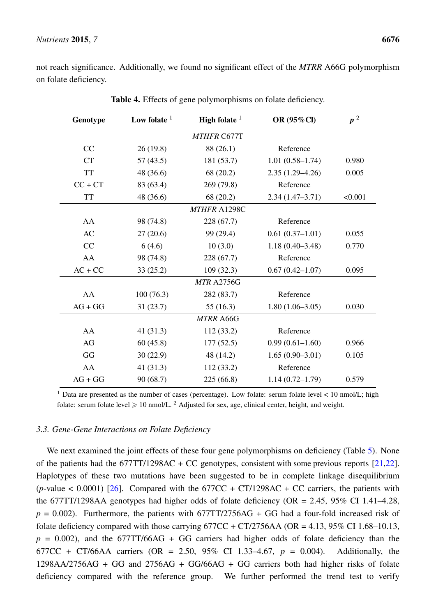<span id="page-6-0"></span>not reach significance. Additionally, we found no significant effect of the *MTRR* A66G polymorphism on folate deficiency.

| Genotype  | Low folate $1$ | High folate $1$   | OR (95%Cl)          | $p^2$   |  |
|-----------|----------------|-------------------|---------------------|---------|--|
|           |                | MTHFR C677T       |                     |         |  |
| CC        | 26(19.8)       | 88 (26.1)         | Reference           |         |  |
| <b>CT</b> | 57(43.5)       | 181 (53.7)        | $1.01(0.58 - 1.74)$ | 0.980   |  |
| <b>TT</b> | 48 (36.6)      | 68 (20.2)         | $2.35(1.29 - 4.26)$ | 0.005   |  |
| $CC + CT$ | 83 (63.4)      | 269 (79.8)        | Reference           |         |  |
| <b>TT</b> | 48 (36.6)      | 68 (20.2)         | $2.34(1.47-3.71)$   | < 0.001 |  |
|           |                | MTHFR A1298C      |                     |         |  |
| AA        | 98 (74.8)      | 228 (67.7)        | Reference           |         |  |
| AC        | 27(20.6)       | 99 (29.4)         | $0.61(0.37-1.01)$   | 0.055   |  |
| CC        | 6(4.6)         | 10(3.0)           | $1.18(0.40-3.48)$   | 0.770   |  |
| AA        | 98 (74.8)      | 228 (67.7)        | Reference           |         |  |
| $AC + CC$ | 33(25.2)       | 109(32.3)         | $0.67(0.42 - 1.07)$ | 0.095   |  |
|           |                | <b>MTR A2756G</b> |                     |         |  |
| AA        | 100(76.3)      | 282 (83.7)        | Reference           |         |  |
| $AG + GG$ | 31(23.7)       | 55(16.3)          | $1.80(1.06-3.05)$   | 0.030   |  |
|           |                | <b>MTRR A66G</b>  |                     |         |  |
| AA        | 41 $(31.3)$    | 112(33.2)         | Reference           |         |  |
| AG        | 60(45.8)       | 177(52.5)         | $0.99(0.61 - 1.60)$ | 0.966   |  |
| GG        | 30(22.9)       | 48 (14.2)         | $1.65(0.90-3.01)$   | 0.105   |  |
| AA        | 41 $(31.3)$    | 112(33.2)         | Reference           |         |  |
| $AG + GG$ | 90(68.7)       | 225(66.8)         | $1.14(0.72 - 1.79)$ | 0.579   |  |

Table 4. Effects of gene polymorphisms on folate deficiency.

<sup>1</sup> Data are presented as the number of cases (percentage). Low folate: serum folate level < 10 nmol/L; high folate: serum folate level  $\geq 10$  nmol/L. <sup>2</sup> Adjusted for sex, age, clinical center, height, and weight.

#### *3.3. Gene-Gene Interactions on Folate Deficiency*

We next examined the joint effects of these four gene polymorphisms on deficiency (Table [5\)](#page-7-0). None of the patients had the 677TT/1298AC + CC genotypes, consistent with some previous reports [\[21,](#page-15-0)[22\]](#page-15-1). Haplotypes of these two mutations have been suggested to be in complete linkage disequilibrium (*p*-value < 0.0001) [\[26\]](#page-15-5). Compared with the  $677CC + CT/1298AC + CC$  carriers, the patients with the 677TT/1298AA genotypes had higher odds of folate deficiency (OR = 2.45, 95% CI 1.41–4.28,  $p = 0.002$ ). Furthermore, the patients with 677TT/2756AG + GG had a four-fold increased risk of folate deficiency compared with those carrying  $677CC + CT/2756AA$  (OR = 4.13, 95% CI 1.68–10.13,  $p = 0.002$ ), and the 677TT/66AG + GG carriers had higher odds of folate deficiency than the 677CC + CT/66AA carriers (OR = 2.50, 95% CI 1.33–4.67, *p* = 0.004). Additionally, the 1298AA/2756AG + GG and 2756AG + GG/66AG + GG carriers both had higher risks of folate deficiency compared with the reference group. We further performed the trend test to verify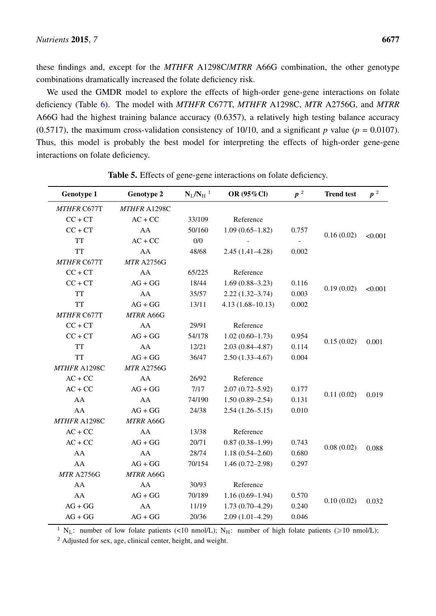these findings and, except for the *MTHFR* A1298C/*MTRR* A66G combination, the other genotype combinations dramatically increased the folate deficiency risk.

We used the GMDR model to explore the effects of high-order gene-gene interactions on folate deficiency (Table [6\)](#page-8-0). The model with *MTHFR* C677T, *MTHFR* A1298C, *MTR* A2756G, and *MTRR* A66G had the highest training balance accuracy (0.6357), a relatively high testing balance accuracy (0.5717), the maximum cross-validation consistency of 10/10, and a significant  $p$  value ( $p = 0.0107$ ). Thus, this model is probably the best model for interpreting the effects of high-order gene-gene interactions on folate deficiency.

<span id="page-7-0"></span>

| <b>Genotype 1</b>  | <b>Genotype 2</b> | $N_L/N_H^{-1}$ | OR (95%Cl)           | $\pmb{p}$ $^2$ | <b>Trend test</b> | $\pmb{p}$ $^2$ |
|--------------------|-------------------|----------------|----------------------|----------------|-------------------|----------------|
| MTHFR C677T        | MTHFR A1298C      |                |                      |                |                   |                |
| $CC + CT$          | $AC + CC$         | 33/109         | Reference            |                |                   |                |
| $CC + CT$          | AA                | 50/160         | $1.09(0.65 - 1.82)$  | 0.757          | 0.16(0.02)        |                |
| <b>TT</b>          | $AC + CC$         | 0/0            |                      |                |                   | < 0.001        |
| <b>TT</b>          | AA                | 48/68          | $2.45(1.41 - 4.28)$  | 0.002          |                   |                |
| <b>MTHFR C677T</b> | <b>MTR A2756G</b> |                |                      |                |                   |                |
| $CC + CT$          | AA                | 65/225         | Reference            |                |                   |                |
| $CC + CT$          | $AG + GG$         | 18/44          | $1.69(0.88 - 3.23)$  | 0.116          | 0.19(0.02)        | < 0.001        |
| <b>TT</b>          | AA                | 35/57          | $2.22(1.32 - 3.74)$  | 0.003          |                   |                |
| <b>TT</b>          | $AG + GG$         | 13/11          | $4.13(1.68 - 10.13)$ | 0.002          |                   |                |
| <b>MTHFR C677T</b> | MTRR A66G         |                |                      |                |                   |                |
| $CC + CT$          | ${\rm AA}$        | 29/91          | Reference            |                |                   |                |
| $CC + CT$          | $AG + GG$         | 54/178         | $1.02(0.60 - 1.73)$  | 0.954          | 0.15(0.02)        | 0.001          |
| <b>TT</b>          | AA                | 12/21          | $2.03(0.84 - 4.87)$  | 0.114          |                   |                |
| <b>TT</b>          | $AG + GG$         | 36/47          | $2.50(1.33 - 4.67)$  | 0.004          |                   |                |
| MTHFR A1298C       | <b>MTR A2756G</b> |                |                      |                |                   |                |
| $AC + CC$          | AA                | 26/92          | Reference            |                |                   |                |
| $AC + CC$          | $AG + GG$         | 7/17           | $2.07(0.72 - 5.92)$  | 0.177          | 0.11(0.02)        | 0.019          |
| AA                 | AA                | 74/190         | $1.50(0.89 - 2.54)$  | 0.131          |                   |                |
| AA                 | $AG + GG$         | 24/38          | $2.54(1.26 - 5.15)$  | 0.010          |                   |                |
| MTHFR A1298C       | MTRR A66G         |                |                      |                |                   |                |
| $AC + CC$          | AA                | 13/38          | Reference            |                |                   |                |
| $AC + CC$          | $AG + GG$         | 20/71          | $0.87(0.38-1.99)$    | 0.743          | 0.08(0.02)        | 0.088          |
| AA                 | AA                | 28/74          | $1.18(0.54 - 2.60)$  | 0.680          |                   |                |
| AA                 | $AG + GG$         | 70/154         | $1.46(0.72 - 2.98)$  | 0.297          |                   |                |
| <b>MTR A2756G</b>  | <b>MTRR A66G</b>  |                |                      |                |                   |                |
| AA                 | AA                | 30/93          | Reference            |                |                   |                |
| AA                 | $AG + GG$         | 70/189         | $1.16(0.69-1.94)$    | 0.570          | 0.10(0.02)        | 0.032          |
| $AG + GG$          | AA                | 11/19          | $1.73(0.70-4.29)$    | 0.240          |                   |                |
| $AG + GG$          | $AG + GG$         | 20/36          | $2.09(1.01-4.29)$    | 0.046          |                   |                |

Table 5. Effects of gene-gene interactions on folate deficiency.

<sup>1</sup> N<sub>L</sub>: number of low folate patients (<10 nmol/L); N<sub>H</sub>: number of high folate patients ( $\geq$ 10 nmol/L);

<sup>2</sup> Adjusted for sex, age, clinical center, height, and weight.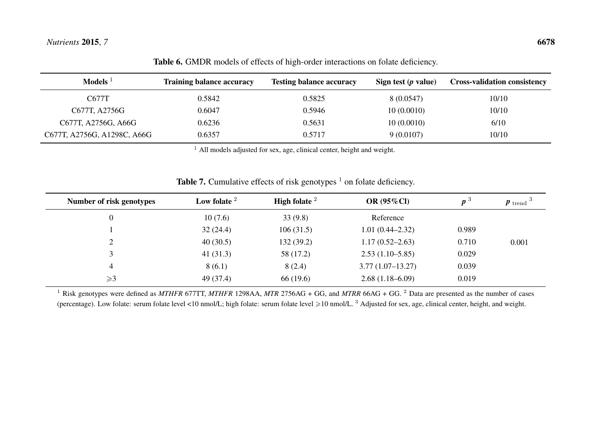| Models $1$                  | <b>Training balance accuracy</b> | <b>Testing balance accuracy</b> | Sign test $(p$ value) | <b>Cross-validation consistency</b> |
|-----------------------------|----------------------------------|---------------------------------|-----------------------|-------------------------------------|
| C677T                       | 0.5842                           | 0.5825                          | 8 (0.0547)            | 10/10                               |
| C677T, A2756G               | 0.6047                           | 0.5946                          | 10(0.0010)            | 10/10                               |
| C677T, A2756G, A66G         | 0.6236                           | 0.5631                          | 10(0.0010)            | 6/10                                |
| C677T, A2756G, A1298C, A66G | 0.6357                           | 0.5717                          | 9(0.0107)             | 10/10                               |

Table 6. GMDR models of effects of high-order interactions on folate deficiency.

 $<sup>1</sup>$  All models adjusted for sex, age, clinical center, height and weight.</sup>

| Number of risk genotypes | Low folate $2$ | <b>High folate</b> $^2$ | OR $(95\%$ Cl)      | $\boldsymbol{p}^{\mathrm{o}}$ | $\boldsymbol{p}$ trend <sup>3</sup> |
|--------------------------|----------------|-------------------------|---------------------|-------------------------------|-------------------------------------|
|                          | 10(7.6)        | 33(9.8)                 | Reference           |                               |                                     |
|                          | 32(24.4)       | 106(31.5)               | $1.01(0.44 - 2.32)$ | 0.989                         |                                     |
|                          | 40(30.5)       | 132(39.2)               | $1.17(0.52 - 2.63)$ | 0.710                         | 0.001                               |
|                          | 41 $(31.3)$    | 58 (17.2)               | $2.53(1.10-5.85)$   | 0.029                         |                                     |
| 4                        | 8(6.1)         | 8(2.4)                  | $3.77(1.07-13.27)$  | 0.039                         |                                     |
| $\geqslant$ 3            | 49 (37.4)      | 66 (19.6)               | $2.68(1.18-6.09)$   | 0.019                         |                                     |

**Table 7.** Cumulative effects of risk genotypes  $\frac{1}{1}$  on folate deficiency.

<span id="page-8-1"></span><span id="page-8-0"></span>1 Risk genotypes were defined as *MTHFR* 677TT, *MTHFR* 1298AA, *MTR* 2756AG <sup>+</sup> GG, and *MTRR* 66AG <sup>+</sup> GG. <sup>2</sup> Data are presented as the number of cases (percentage). Low folate: serum folate level <10 nmol/L; high folate: serum folate level  $\geq 10$  nmol/L. <sup>3</sup> Adjusted for sex, age, clinical center, height, and weight.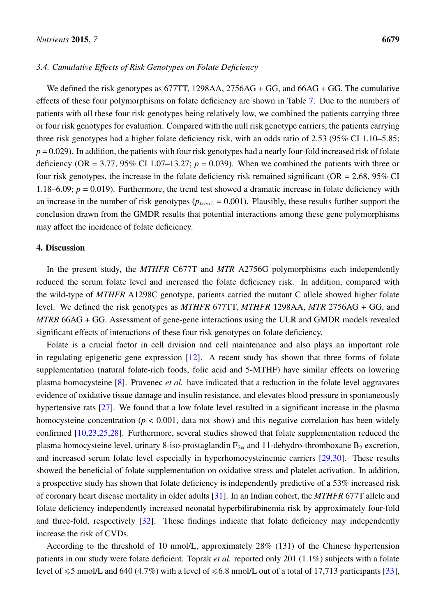## *3.4. Cumulative Effects of Risk Genotypes on Folate Deficiency*

We defined the risk genotypes as 677TT, 1298AA, 2756AG + GG, and 66AG + GG. The cumulative effects of these four polymorphisms on folate deficiency are shown in Table [7.](#page-8-1) Due to the numbers of patients with all these four risk genotypes being relatively low, we combined the patients carrying three or four risk genotypes for evaluation. Compared with the null risk genotype carriers, the patients carrying three risk genotypes had a higher folate deficiency risk, with an odds ratio of 2.53 (95% CI 1.10–5.85;  $p = 0.029$ ). In addition, the patients with four risk genotypes had a nearly four-fold increased risk of folate deficiency (OR = 3.77, 95% CI 1.07–13.27;  $p = 0.039$ ). When we combined the patients with three or four risk genotypes, the increase in the folate deficiency risk remained significant ( $OR = 2.68$ ,  $95\%$  CI 1.18–6.09;  $p = 0.019$ ). Furthermore, the trend test showed a dramatic increase in folate deficiency with an increase in the number of risk genotypes ( $p_{\text{trend}} = 0.001$ ). Plausibly, these results further support the conclusion drawn from the GMDR results that potential interactions among these gene polymorphisms may affect the incidence of folate deficiency.

## 4. Discussion

In the present study, the *MTHFR* C677T and *MTR* A2756G polymorphisms each independently reduced the serum folate level and increased the folate deficiency risk. In addition, compared with the wild-type of *MTHFR* A1298C genotype, patients carried the mutant C allele showed higher folate level. We defined the risk genotypes as *MTHFR* 677TT, *MTHFR* 1298AA, *MTR* 2756AG + GG, and *MTRR* 66AG + GG. Assessment of gene-gene interactions using the ULR and GMDR models revealed significant effects of interactions of these four risk genotypes on folate deficiency.

Folate is a crucial factor in cell division and cell maintenance and also plays an important role in regulating epigenetic gene expression [\[12\]](#page-14-1). A recent study has shown that three forms of folate supplementation (natural folate-rich foods, folic acid and 5-MTHF) have similar effects on lowering plasma homocysteine [\[8\]](#page-13-4). Pravenec *et al.* have indicated that a reduction in the folate level aggravates evidence of oxidative tissue damage and insulin resistance, and elevates blood pressure in spontaneously hypertensive rats [\[27\]](#page-15-6). We found that a low folate level resulted in a significant increase in the plasma homocysteine concentration ( $p < 0.001$ , data not show) and this negative correlation has been widely confirmed [\[10,](#page-13-6)[23,](#page-15-2)[25](#page-15-4)[,28\]](#page-15-7). Furthermore, several studies showed that folate supplementation reduced the plasma homocysteine level, urinary 8-iso-prostaglandin  $F_{2\alpha}$  and 11-dehydro-thromboxane  $B_2$  excretion, and increased serum folate level especially in hyperhomocysteinemic carriers [\[29](#page-15-8)[,30\]](#page-15-9). These results showed the beneficial of folate supplementation on oxidative stress and platelet activation. In addition, a prospective study has shown that folate deficiency is independently predictive of a 53% increased risk of coronary heart disease mortality in older adults [\[31\]](#page-15-10). In an Indian cohort, the *MTHFR* 677T allele and folate deficiency independently increased neonatal hyperbilirubinemia risk by approximately four-fold and three-fold, respectively [\[32\]](#page-16-0). These findings indicate that folate deficiency may independently increase the risk of CVDs.

According to the threshold of 10 nmol/L, approximately 28% (131) of the Chinese hypertension patients in our study were folate deficient. Toprak *et al.* reported only 201 (1.1%) subjects with a folate level of  $\leq$ 5 nmol/L and 640 (4.7%) with a level of  $\leq$ 6.8 nmol/L out of a total of 17,713 participants [\[33\]](#page-16-1),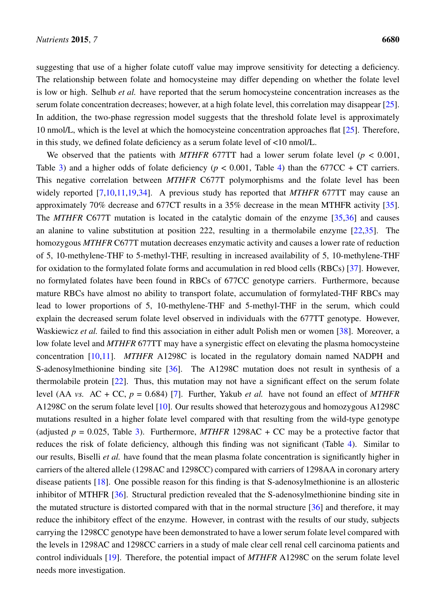suggesting that use of a higher folate cutoff value may improve sensitivity for detecting a deficiency. The relationship between folate and homocysteine may differ depending on whether the folate level is low or high. Selhub *et al.* have reported that the serum homocysteine concentration increases as the serum folate concentration decreases; however, at a high folate level, this correlation may disappear [\[25\]](#page-15-4). In addition, the two-phase regression model suggests that the threshold folate level is approximately 10 nmol/L, which is the level at which the homocysteine concentration approaches flat [\[25\]](#page-15-4). Therefore, in this study, we defined folate deficiency as a serum folate level of <10 nmol/L.

We observed that the patients with *MTHFR* 677TT had a lower serum folate level ( $p < 0.001$ , Table [3\)](#page-5-0) and a higher odds of folate deficiency ( $p < 0.001$ , Table [4\)](#page-6-0) than the 677CC + CT carriers. This negative correlation between *MTHFR* C677T polymorphisms and the folate level has been widely reported [\[7,](#page-13-5)[10,](#page-13-6)[11](#page-14-0)[,19](#page-14-8)[,34\]](#page-16-2). A previous study has reported that *MTHFR* 677TT may cause an approximately 70% decrease and 677CT results in a 35% decrease in the mean MTHFR activity [\[35\]](#page-16-3). The *MTHFR* C677T mutation is located in the catalytic domain of the enzyme [\[35](#page-16-3)[,36\]](#page-16-4) and causes an alanine to valine substitution at position 222, resulting in a thermolabile enzyme [\[22,](#page-15-1)[35\]](#page-16-3). The homozygous *MTHFR* C677T mutation decreases enzymatic activity and causes a lower rate of reduction of 5, 10-methylene-THF to 5-methyl-THF, resulting in increased availability of 5, 10-methylene-THF for oxidation to the formylated folate forms and accumulation in red blood cells (RBCs) [\[37\]](#page-16-5). However, no formylated folates have been found in RBCs of 677CC genotype carriers. Furthermore, because mature RBCs have almost no ability to transport folate, accumulation of formylated-THF RBCs may lead to lower proportions of 5, 10-methylene-THF and 5-methyl-THF in the serum, which could explain the decreased serum folate level observed in individuals with the 677TT genotype. However, Waskiewicz *et al.* failed to find this association in either adult Polish men or women [\[38\]](#page-16-6). Moreover, a low folate level and *MTHFR* 677TT may have a synergistic effect on elevating the plasma homocysteine concentration [\[10](#page-13-6)[,11\]](#page-14-0). *MTHFR* A1298C is located in the regulatory domain named NADPH and S-adenosylmethionine binding site [\[36\]](#page-16-4). The A1298C mutation does not result in synthesis of a thermolabile protein [\[22\]](#page-15-1). Thus, this mutation may not have a significant effect on the serum folate level (AA *vs.* AC + CC, *p* = 0.684) [\[7\]](#page-13-5). Further, Yakub *et al.* have not found an effect of *MTHFR* A1298C on the serum folate level [\[10\]](#page-13-6). Our results showed that heterozygous and homozygous A1298C mutations resulted in a higher folate level compared with that resulting from the wild-type genotype (adjusted  $p = 0.025$ , Table [3\)](#page-5-0). Furthermore, *MTHFR* 1298AC + CC may be a protective factor that reduces the risk of folate deficiency, although this finding was not significant (Table [4\)](#page-6-0). Similar to our results, Biselli *et al.* have found that the mean plasma folate concentration is significantly higher in carriers of the altered allele (1298AC and 1298CC) compared with carriers of 1298AA in coronary artery disease patients [\[18\]](#page-14-7). One possible reason for this finding is that S-adenosylmethionine is an allosteric inhibitor of MTHFR [\[36\]](#page-16-4). Structural prediction revealed that the S-adenosylmethionine binding site in the mutated structure is distorted compared with that in the normal structure [\[36\]](#page-16-4) and therefore, it may reduce the inhibitory effect of the enzyme. However, in contrast with the results of our study, subjects carrying the 1298CC genotype have been demonstrated to have a lower serum folate level compared with the levels in 1298AC and 1298CC carriers in a study of male clear cell renal cell carcinoma patients and control individuals [\[19\]](#page-14-8). Therefore, the potential impact of *MTHFR* A1298C on the serum folate level needs more investigation.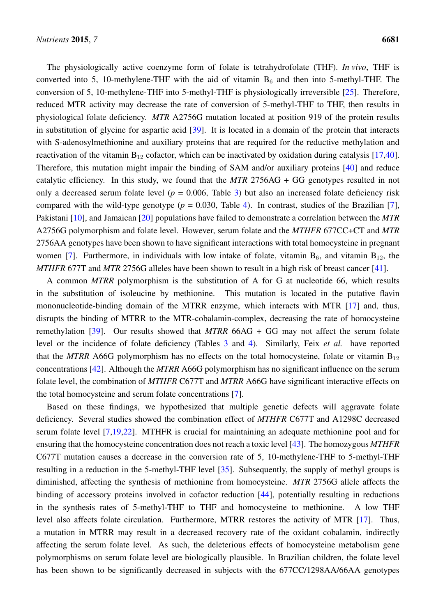The physiologically active coenzyme form of folate is tetrahydrofolate (THF). *In vivo*, THF is converted into 5, 10-methylene-THF with the aid of vitamin  $B_6$  and then into 5-methyl-THF. The conversion of 5, 10-methylene-THF into 5-methyl-THF is physiologically irreversible [\[25\]](#page-15-4). Therefore, reduced MTR activity may decrease the rate of conversion of 5-methyl-THF to THF, then results in physiological folate deficiency. *MTR* A2756G mutation located at position 919 of the protein results in substitution of glycine for aspartic acid [\[39\]](#page-16-7). It is located in a domain of the protein that interacts with S-adenosylmethionine and auxiliary proteins that are required for the reductive methylation and reactivation of the vitamin  $B_{12}$  cofactor, which can be inactivated by oxidation during catalysis [\[17,](#page-14-6)[40\]](#page-16-8). Therefore, this mutation might impair the binding of SAM and/or auxiliary proteins [\[40\]](#page-16-8) and reduce catalytic efficiency. In this study, we found that the *MTR* 2756AG + GG genotypes resulted in not only a decreased serum folate level ( $p = 0.006$ , Table [3\)](#page-5-0) but also an increased folate deficiency risk compared with the wild-type genotype  $(p = 0.030,$  Table [4\)](#page-6-0). In contrast, studies of the Brazilian [\[7\]](#page-13-5), Pakistani [\[10\]](#page-13-6), and Jamaican [\[20\]](#page-14-9) populations have failed to demonstrate a correlation between the *MTR* A2756G polymorphism and folate level. However, serum folate and the *MTHFR* 677CC+CT and *MTR* 2756AA genotypes have been shown to have significant interactions with total homocysteine in pregnant women [\[7\]](#page-13-5). Furthermore, in individuals with low intake of folate, vitamin  $B_6$ , and vitamin  $B_{12}$ , the *MTHFR* 677T and *MTR* 2756G alleles have been shown to result in a high risk of breast cancer [\[41\]](#page-16-9).

A common *MTRR* polymorphism is the substitution of A for G at nucleotide 66, which results in the substitution of isoleucine by methionine. This mutation is located in the putative flavin mononucleotide-binding domain of the MTRR enzyme, which interacts with MTR [\[17\]](#page-14-6) and, thus, disrupts the binding of MTRR to the MTR-cobalamin-complex, decreasing the rate of homocysteine remethylation [\[39\]](#page-16-7). Our results showed that *MTRR* 66AG + GG may not affect the serum folate level or the incidence of folate deficiency (Tables [3](#page-5-0) and [4\)](#page-6-0). Similarly, Feix *et al.* have reported that the *MTRR* A66G polymorphism has no effects on the total homocysteine, folate or vitamin  $B_{12}$ concentrations [\[42\]](#page-16-10). Although the *MTRR* A66G polymorphism has no significant influence on the serum folate level, the combination of *MTHFR* C677T and *MTRR* A66G have significant interactive effects on the total homocysteine and serum folate concentrations [\[7\]](#page-13-5).

Based on these findings, we hypothesized that multiple genetic defects will aggravate folate deficiency. Several studies showed the combination effect of *MTHFR* C677T and A1298C decreased serum folate level [\[7](#page-13-5)[,19](#page-14-8)[,22\]](#page-15-1). MTHFR is crucial for maintaining an adequate methionine pool and for ensuring that the homocysteine concentration does not reach a toxic level [\[43\]](#page-16-11). The homozygous *MTHFR* C677T mutation causes a decrease in the conversion rate of 5, 10-methylene-THF to 5-methyl-THF resulting in a reduction in the 5-methyl-THF level [\[35\]](#page-16-3). Subsequently, the supply of methyl groups is diminished, affecting the synthesis of methionine from homocysteine. *MTR* 2756G allele affects the binding of accessory proteins involved in cofactor reduction [\[44\]](#page-17-0), potentially resulting in reductions in the synthesis rates of 5-methyl-THF to THF and homocysteine to methionine. A low THF level also affects folate circulation. Furthermore, MTRR restores the activity of MTR [\[17\]](#page-14-6). Thus, a mutation in MTRR may result in a decreased recovery rate of the oxidant cobalamin, indirectly affecting the serum folate level. As such, the deleterious effects of homocysteine metabolism gene polymorphisms on serum folate level are biologically plausible. In Brazilian children, the folate level has been shown to be significantly decreased in subjects with the 677CC/1298AA/66AA genotypes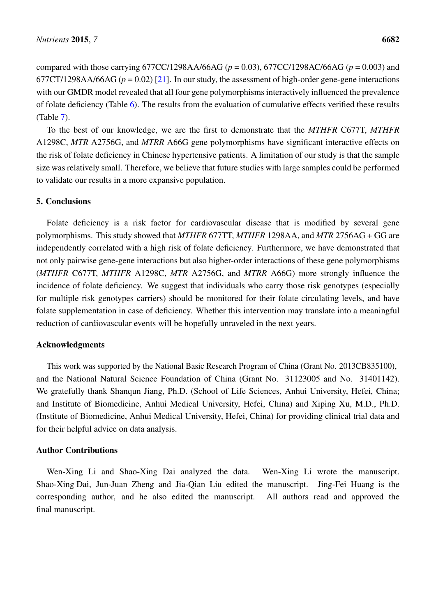compared with those carrying 677CC/1298AA/66AG (*p* = 0.03), 677CC/1298AC/66AG (*p* = 0.003) and 677CT/1298AA/66AG ( $p = 0.02$ ) [\[21\]](#page-15-0). In our study, the assessment of high-order gene-gene interactions with our GMDR model revealed that all four gene polymorphisms interactively influenced the prevalence of folate deficiency (Table [6\)](#page-8-0). The results from the evaluation of cumulative effects verified these results (Table [7\)](#page-8-1).

To the best of our knowledge, we are the first to demonstrate that the *MTHFR* C677T, *MTHFR* A1298C, *MTR* A2756G, and *MTRR* A66G gene polymorphisms have significant interactive effects on the risk of folate deficiency in Chinese hypertensive patients. A limitation of our study is that the sample size was relatively small. Therefore, we believe that future studies with large samples could be performed to validate our results in a more expansive population.

## 5. Conclusions

Folate deficiency is a risk factor for cardiovascular disease that is modified by several gene polymorphisms. This study showed that *MTHFR* 677TT, *MTHFR* 1298AA, and *MTR* 2756AG + GG are independently correlated with a high risk of folate deficiency. Furthermore, we have demonstrated that not only pairwise gene-gene interactions but also higher-order interactions of these gene polymorphisms (*MTHFR* C677T, *MTHFR* A1298C, *MTR* A2756G, and *MTRR* A66G) more strongly influence the incidence of folate deficiency. We suggest that individuals who carry those risk genotypes (especially for multiple risk genotypes carriers) should be monitored for their folate circulating levels, and have folate supplementation in case of deficiency. Whether this intervention may translate into a meaningful reduction of cardiovascular events will be hopefully unraveled in the next years.

#### Acknowledgments

This work was supported by the National Basic Research Program of China (Grant No. 2013CB835100), and the National Natural Science Foundation of China (Grant No. 31123005 and No. 31401142). We gratefully thank Shanqun Jiang, Ph.D. (School of Life Sciences, Anhui University, Hefei, China; and Institute of Biomedicine, Anhui Medical University, Hefei, China) and Xiping Xu, M.D., Ph.D. (Institute of Biomedicine, Anhui Medical University, Hefei, China) for providing clinical trial data and for their helpful advice on data analysis.

## Author Contributions

Wen-Xing Li and Shao-Xing Dai analyzed the data. Wen-Xing Li wrote the manuscript. Shao-Xing Dai, Jun-Juan Zheng and Jia-Qian Liu edited the manuscript. Jing-Fei Huang is the corresponding author, and he also edited the manuscript. All authors read and approved the final manuscript.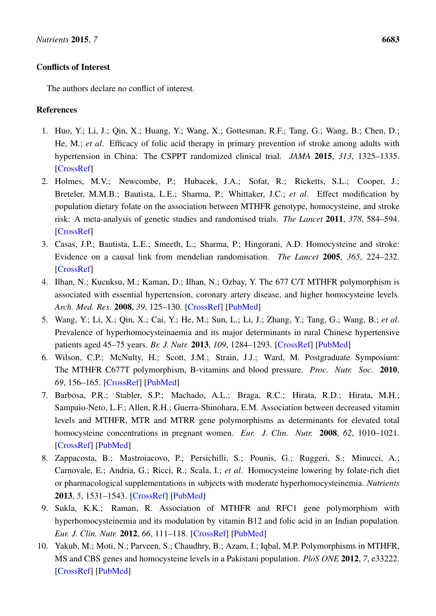## Conflicts of Interest

The authors declare no conflict of interest.

# References

- <span id="page-13-0"></span>1. Huo, Y.; Li, J.; Qin, X.; Huang, Y.; Wang, X.; Gottesman, R.F.; Tang, G.; Wang, B.; Chen, D.; He, M.; *et al*. Efficacy of folic acid therapy in primary prevention of stroke among adults with hypertension in China: The CSPPT randomized clinical trial. *JAMA* 2015, *313*, 1325–1335. [\[CrossRef\]](http://dx.doi.org/10.1001/jama.2015.2274)
- <span id="page-13-1"></span>2. Holmes, M.V.; Newcombe, P.; Hubacek, J.A.; Sofat, R.; Ricketts, S.L.; Cooper, J.; Breteler, M.M.B.; Bautista, L.E.; Sharma, P.; Whittaker, J.C.; *et al*. Effect modification by population dietary folate on the association between MTHFR genotype, homocysteine, and stroke risk: A meta-analysis of genetic studies and randomised trials. *The Lancet* 2011, *378*, 584–594. [\[CrossRef\]](http://dx.doi.org/10.1016/S0140-6736(11)60872-6)
- 3. Casas, J.P.; Bautista, L.E.; Smeeth, L.; Sharma, P.; Hingorani, A.D. Homocysteine and stroke: Evidence on a causal link from mendelian randomisation. *The Lancet* 2005, *365*, 224–232. [\[CrossRef\]](http://dx.doi.org/10.1016/S0140-6736(05)70152-5)
- 4. Ilhan, N.; Kucuksu, M.; Kaman, D.; Ilhan, N.; Ozbay, Y. The 677 C/T MTHFR polymorphism is associated with essential hypertension, coronary artery disease, and higher homocysteine levels. *Arch. Med. Res.* 2008, *39*, 125–130. [\[CrossRef\]](http://dx.doi.org/10.1016/j.arcmed.2007.07.009) [\[PubMed\]](http://www.ncbi.nlm.nih.gov/pubmed/18068006)
- <span id="page-13-2"></span>5. Wang, Y.; Li, X.; Qin, X.; Cai, Y.; He, M.; Sun, L.; Li, J.; Zhang, Y.; Tang, G.; Wang, B.; *et al*. Prevalence of hyperhomocysteinaemia and its major determinants in rural Chinese hypertensive patients aged 45–75 years. *Br. J. Nutr.* 2013, *109*, 1284–1293. [\[CrossRef\]](http://dx.doi.org/10.1017/S0007114512003157) [\[PubMed\]](http://www.ncbi.nlm.nih.gov/pubmed/22850357)
- <span id="page-13-3"></span>6. Wilson, C.P.; McNulty, H.; Scott, J.M.; Strain, J.J.; Ward, M. Postgraduate Symposium: The MTHFR C677T polymorphism, B-vitamins and blood pressure. *Proc. Nutr. Soc.* 2010, *69*, 156–165. [\[CrossRef\]](http://dx.doi.org/10.1017/S0029665109991728) [\[PubMed\]](http://www.ncbi.nlm.nih.gov/pubmed/19954568)
- <span id="page-13-5"></span>7. Barbosa, P.R.; Stabler, S.P.; Machado, A.L.; Braga, R.C.; Hirata, R.D.; Hirata, M.H.; Sampaio-Neto, L.F.; Allen, R.H.; Guerra-Shinohara, E.M. Association between decreased vitamin levels and MTHFR, MTR and MTRR gene polymorphisms as determinants for elevated total homocysteine concentrations in pregnant women. *Eur. J. Clin. Nutr.* 2008, *62*, 1010–1021. [\[CrossRef\]](http://dx.doi.org/10.1038/sj.ejcn.1602810) [\[PubMed\]](http://www.ncbi.nlm.nih.gov/pubmed/17522601)
- <span id="page-13-4"></span>8. Zappacosta, B.; Mastroiacovo, P.; Persichilli, S.; Pounis, G.; Ruggeri, S.; Minucci, A.; Carnovale, E.; Andria, G.; Ricci, R.; Scala, I.; *et al*. Homocysteine lowering by folate-rich diet or pharmacological supplementations in subjects with moderate hyperhomocysteinemia. *Nutrients* 2013, *5*, 1531–1543. [\[CrossRef\]](http://dx.doi.org/10.3390/nu5051531) [\[PubMed\]](http://www.ncbi.nlm.nih.gov/pubmed/23698160)
- <span id="page-13-7"></span>9. Sukla, K.K.; Raman, R. Association of MTHFR and RFC1 gene polymorphism with hyperhomocysteinemia and its modulation by vitamin B12 and folic acid in an Indian population. *Eur. J. Clin. Nutr.* 2012, *66*, 111–118. [\[CrossRef\]](http://dx.doi.org/10.1038/ejcn.2011.152) [\[PubMed\]](http://www.ncbi.nlm.nih.gov/pubmed/21878957)
- <span id="page-13-6"></span>10. Yakub, M.; Moti, N.; Parveen, S.; Chaudhry, B.; Azam, I.; Iqbal, M.P. Polymorphisms in MTHFR, MS and CBS genes and homocysteine levels in a Pakistani population. *PloS ONE* 2012, *7*, e33222. [\[CrossRef\]](http://dx.doi.org/10.1371/journal.pone.0033222) [\[PubMed\]](http://www.ncbi.nlm.nih.gov/pubmed/22470444)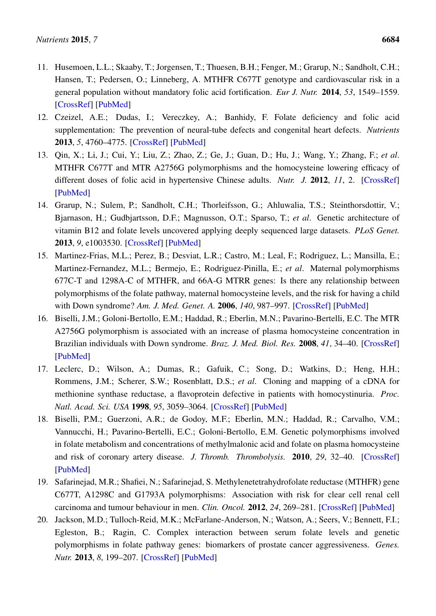- <span id="page-14-0"></span>11. Husemoen, L.L.; Skaaby, T.; Jorgensen, T.; Thuesen, B.H.; Fenger, M.; Grarup, N.; Sandholt, C.H.; Hansen, T.; Pedersen, O.; Linneberg, A. MTHFR C677T genotype and cardiovascular risk in a general population without mandatory folic acid fortification. *Eur J. Nutr.* 2014, *53*, 1549–1559. [\[CrossRef\]](http://dx.doi.org/10.1007/s00394-014-0659-2) [\[PubMed\]](http://www.ncbi.nlm.nih.gov/pubmed/24458267)
- <span id="page-14-1"></span>12. Czeizel, A.E.; Dudas, I.; Vereczkey, A.; Banhidy, F. Folate deficiency and folic acid supplementation: The prevention of neural-tube defects and congenital heart defects. *Nutrients* 2013, *5*, 4760–4775. [\[CrossRef\]](http://dx.doi.org/10.3390/nu5114760) [\[PubMed\]](http://www.ncbi.nlm.nih.gov/pubmed/24284617)
- <span id="page-14-2"></span>13. Qin, X.; Li, J.; Cui, Y.; Liu, Z.; Zhao, Z.; Ge, J.; Guan, D.; Hu, J.; Wang, Y.; Zhang, F.; *et al*. MTHFR C677T and MTR A2756G polymorphisms and the homocysteine lowering efficacy of different doses of folic acid in hypertensive Chinese adults. *Nutr. J.* 2012, *11*, 2. [\[CrossRef\]](http://dx.doi.org/10.1186/1475-2891-11-2) [\[PubMed\]](http://www.ncbi.nlm.nih.gov/pubmed/22230384)
- <span id="page-14-3"></span>14. Grarup, N.; Sulem, P.; Sandholt, C.H.; Thorleifsson, G.; Ahluwalia, T.S.; Steinthorsdottir, V.; Bjarnason, H.; Gudbjartsson, D.F.; Magnusson, O.T.; Sparso, T.; *et al*. Genetic architecture of vitamin B12 and folate levels uncovered applying deeply sequenced large datasets. *PLoS Genet.* 2013, *9*, e1003530. [\[CrossRef\]](http://dx.doi.org/10.1371/journal.pgen.1003530) [\[PubMed\]](http://www.ncbi.nlm.nih.gov/pubmed/23754956)
- <span id="page-14-4"></span>15. Martinez-Frias, M.L.; Perez, B.; Desviat, L.R.; Castro, M.; Leal, F.; Rodriguez, L.; Mansilla, E.; Martinez-Fernandez, M.L.; Bermejo, E.; Rodriguez-Pinilla, E.; *et al*. Maternal polymorphisms 677C-T and 1298A-C of MTHFR, and 66A-G MTRR genes: Is there any relationship between polymorphisms of the folate pathway, maternal homocysteine levels, and the risk for having a child with Down syndrome? *Am. J. Med. Genet. A.* 2006, *140*, 987–997. [\[CrossRef\]](http://dx.doi.org/10.1002/ajmg.a.31203) [\[PubMed\]](http://www.ncbi.nlm.nih.gov/pubmed/16575899)
- <span id="page-14-5"></span>16. Biselli, J.M.; Goloni-Bertollo, E.M.; Haddad, R.; Eberlin, M.N.; Pavarino-Bertelli, E.C. The MTR A2756G polymorphism is associated with an increase of plasma homocysteine concentration in Brazilian individuals with Down syndrome. *Braz. J. Med. Biol. Res.* 2008, *41*, 34–40. [\[CrossRef\]](http://dx.doi.org/10.1590/S0100-879X2006005000195) [\[PubMed\]](http://www.ncbi.nlm.nih.gov/pubmed/18060320)
- <span id="page-14-6"></span>17. Leclerc, D.; Wilson, A.; Dumas, R.; Gafuik, C.; Song, D.; Watkins, D.; Heng, H.H.; Rommens, J.M.; Scherer, S.W.; Rosenblatt, D.S.; *et al*. Cloning and mapping of a cDNA for methionine synthase reductase, a flavoprotein defective in patients with homocystinuria. *Proc. Natl. Acad. Sci. USA* 1998, *95*, 3059–3064. [\[CrossRef\]](http://dx.doi.org/10.1073/pnas.95.6.3059) [\[PubMed\]](http://www.ncbi.nlm.nih.gov/pubmed/9501215)
- <span id="page-14-7"></span>18. Biselli, P.M.; Guerzoni, A.R.; de Godoy, M.F.; Eberlin, M.N.; Haddad, R.; Carvalho, V.M.; Vannucchi, H.; Pavarino-Bertelli, E.C.; Goloni-Bertollo, E.M. Genetic polymorphisms involved in folate metabolism and concentrations of methylmalonic acid and folate on plasma homocysteine and risk of coronary artery disease. *J. Thromb. Thrombolysis.* 2010, *29*, 32–40. [\[CrossRef\]](http://dx.doi.org/10.1007/s11239-009-0321-7) [\[PubMed\]](http://www.ncbi.nlm.nih.gov/pubmed/19283448)
- <span id="page-14-8"></span>19. Safarinejad, M.R.; Shafiei, N.; Safarinejad, S. Methylenetetrahydrofolate reductase (MTHFR) gene C677T, A1298C and G1793A polymorphisms: Association with risk for clear cell renal cell carcinoma and tumour behaviour in men. *Clin. Oncol.* 2012, *24*, 269–281. [\[CrossRef\]](http://dx.doi.org/10.1016/j.clon.2011.03.005) [\[PubMed\]](http://www.ncbi.nlm.nih.gov/pubmed/21489764)
- <span id="page-14-9"></span>20. Jackson, M.D.; Tulloch-Reid, M.K.; McFarlane-Anderson, N.; Watson, A.; Seers, V.; Bennett, F.I.; Egleston, B.; Ragin, C. Complex interaction between serum folate levels and genetic polymorphisms in folate pathway genes: biomarkers of prostate cancer aggressiveness. *Genes. Nutr.* 2013, *8*, 199–207. [\[CrossRef\]](http://dx.doi.org/10.1007/s12263-012-0321-7) [\[PubMed\]](http://www.ncbi.nlm.nih.gov/pubmed/23007265)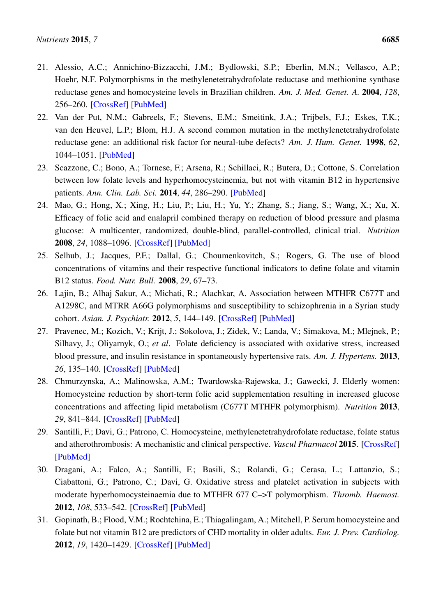- <span id="page-15-0"></span>21. Alessio, A.C.; Annichino-Bizzacchi, J.M.; Bydlowski, S.P.; Eberlin, M.N.; Vellasco, A.P.; Hoehr, N.F. Polymorphisms in the methylenetetrahydrofolate reductase and methionine synthase reductase genes and homocysteine levels in Brazilian children. *Am. J. Med. Genet. A.* 2004, *128*, 256–260. [\[CrossRef\]](http://dx.doi.org/10.1002/ajmg.a.30108) [\[PubMed\]](http://www.ncbi.nlm.nih.gov/pubmed/15216546)
- <span id="page-15-1"></span>22. Van der Put, N.M.; Gabreels, F.; Stevens, E.M.; Smeitink, J.A.; Trijbels, F.J.; Eskes, T.K.; van den Heuvel, L.P.; Blom, H.J. A second common mutation in the methylenetetrahydrofolate reductase gene: an additional risk factor for neural-tube defects? *Am. J. Hum. Genet.* 1998, *62*, 1044–1051. [\[PubMed\]](http://www.ncbi.nlm.nih.gov/pubmed/9545395)
- <span id="page-15-2"></span>23. Scazzone, C.; Bono, A.; Tornese, F.; Arsena, R.; Schillaci, R.; Butera, D.; Cottone, S. Correlation between low folate levels and hyperhomocysteinemia, but not with vitamin B12 in hypertensive patients. *Ann. Clin. Lab. Sci.* 2014, *44*, 286–290. [\[PubMed\]](http://www.ncbi.nlm.nih.gov/pubmed/25117099)
- <span id="page-15-3"></span>24. Mao, G.; Hong, X.; Xing, H.; Liu, P.; Liu, H.; Yu, Y.; Zhang, S.; Jiang, S.; Wang, X.; Xu, X. Efficacy of folic acid and enalapril combined therapy on reduction of blood pressure and plasma glucose: A multicenter, randomized, double-blind, parallel-controlled, clinical trial. *Nutrition* 2008, *24*, 1088–1096. [\[CrossRef\]](http://dx.doi.org/10.1016/j.nut.2008.05.009) [\[PubMed\]](http://www.ncbi.nlm.nih.gov/pubmed/18656328)
- <span id="page-15-4"></span>25. Selhub, J.; Jacques, P.F.; Dallal, G.; Choumenkovitch, S.; Rogers, G. The use of blood concentrations of vitamins and their respective functional indicators to define folate and vitamin B12 status. *Food. Nutr. Bull.* 2008, *29*, 67–73.
- <span id="page-15-5"></span>26. Lajin, B.; Alhaj Sakur, A.; Michati, R.; Alachkar, A. Association between MTHFR C677T and A1298C, and MTRR A66G polymorphisms and susceptibility to schizophrenia in a Syrian study cohort. *Asian. J. Psychiatr.* 2012, *5*, 144–149. [\[CrossRef\]](http://dx.doi.org/10.1016/j.ajp.2012.03.002) [\[PubMed\]](http://www.ncbi.nlm.nih.gov/pubmed/22813657)
- <span id="page-15-6"></span>27. Pravenec, M.; Kozich, V.; Krijt, J.; Sokolova, J.; Zidek, V.; Landa, V.; Simakova, M.; Mlejnek, P.; Silhavy, J.; Oliyarnyk, O.; *et al*. Folate deficiency is associated with oxidative stress, increased blood pressure, and insulin resistance in spontaneously hypertensive rats. *Am. J. Hypertens.* 2013, *26*, 135–140. [\[CrossRef\]](http://dx.doi.org/10.1093/ajh/hps015) [\[PubMed\]](http://www.ncbi.nlm.nih.gov/pubmed/23382337)
- <span id="page-15-7"></span>28. Chmurzynska, A.; Malinowska, A.M.; Twardowska-Rajewska, J.; Gawecki, J. Elderly women: Homocysteine reduction by short-term folic acid supplementation resulting in increased glucose concentrations and affecting lipid metabolism (C677T MTHFR polymorphism). *Nutrition* 2013, *29*, 841–844. [\[CrossRef\]](http://dx.doi.org/10.1016/j.nut.2012.09.015) [\[PubMed\]](http://www.ncbi.nlm.nih.gov/pubmed/23298970)
- <span id="page-15-8"></span>29. Santilli, F.; Davi, G.; Patrono, C. Homocysteine, methylenetetrahydrofolate reductase, folate status and atherothrombosis: A mechanistic and clinical perspective. *Vascul Pharmacol* 2015. [\[CrossRef\]](http://dx.doi.org/10.1016/j.vph.2015.06.009) [\[PubMed\]](http://www.ncbi.nlm.nih.gov/pubmed/26111718)
- <span id="page-15-9"></span>30. Dragani, A.; Falco, A.; Santilli, F.; Basili, S.; Rolandi, G.; Cerasa, L.; Lattanzio, S.; Ciabattoni, G.; Patrono, C.; Davi, G. Oxidative stress and platelet activation in subjects with moderate hyperhomocysteinaemia due to MTHFR 677 C–>T polymorphism. *Thromb. Haemost.* 2012, *108*, 533–542. [\[CrossRef\]](http://dx.doi.org/10.1160/TH11-12-0899) [\[PubMed\]](http://www.ncbi.nlm.nih.gov/pubmed/22782530)
- <span id="page-15-10"></span>31. Gopinath, B.; Flood, V.M.; Rochtchina, E.; Thiagalingam, A.; Mitchell, P. Serum homocysteine and folate but not vitamin B12 are predictors of CHD mortality in older adults. *Eur. J. Prev. Cardiolog.* 2012, *19*, 1420–1429. [\[CrossRef\]](http://dx.doi.org/10.1177/1741826711424568) [\[PubMed\]](http://www.ncbi.nlm.nih.gov/pubmed/21960652)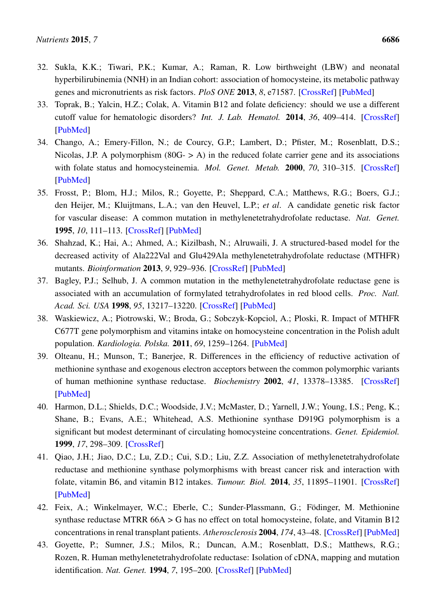- <span id="page-16-0"></span>32. Sukla, K.K.; Tiwari, P.K.; Kumar, A.; Raman, R. Low birthweight (LBW) and neonatal hyperbilirubinemia (NNH) in an Indian cohort: association of homocysteine, its metabolic pathway genes and micronutrients as risk factors. *PloS ONE* 2013, *8*, e71587. [\[CrossRef\]](http://dx.doi.org/10.1371/journal.pone.0071587) [\[PubMed\]](http://www.ncbi.nlm.nih.gov/pubmed/23936521)
- <span id="page-16-1"></span>33. Toprak, B.; Yalcin, H.Z.; Colak, A. Vitamin B12 and folate deficiency: should we use a different cutoff value for hematologic disorders? *Int. J. Lab. Hematol.* 2014, *36*, 409–414. [\[CrossRef\]](http://dx.doi.org/10.1111/ijlh.12158) [\[PubMed\]](http://www.ncbi.nlm.nih.gov/pubmed/24164696)
- <span id="page-16-2"></span>34. Chango, A.; Emery-Fillon, N.; de Courcy, G.P.; Lambert, D.; Pfister, M.; Rosenblatt, D.S.; Nicolas, J.P. A polymorphism  $(80G - > A)$  in the reduced folate carrier gene and its associations with folate status and homocysteinemia. *Mol. Genet. Metab.* 2000, *70*, 310–315. [\[CrossRef\]](http://dx.doi.org/10.1006/mgme.2000.3034) [\[PubMed\]](http://www.ncbi.nlm.nih.gov/pubmed/10993718)
- <span id="page-16-3"></span>35. Frosst, P.; Blom, H.J.; Milos, R.; Goyette, P.; Sheppard, C.A.; Matthews, R.G.; Boers, G.J.; den Heijer, M.; Kluijtmans, L.A.; van den Heuvel, L.P.; *et al*. A candidate genetic risk factor for vascular disease: A common mutation in methylenetetrahydrofolate reductase. *Nat. Genet.* 1995, *10*, 111–113. [\[CrossRef\]](http://dx.doi.org/10.1038/ng0595-111) [\[PubMed\]](http://www.ncbi.nlm.nih.gov/pubmed/7647779)
- <span id="page-16-4"></span>36. Shahzad, K.; Hai, A.; Ahmed, A.; Kizilbash, N.; Alruwaili, J. A structured-based model for the decreased activity of Ala222Val and Glu429Ala methylenetetrahydrofolate reductase (MTHFR) mutants. *Bioinformation* 2013, *9*, 929–936. [\[CrossRef\]](http://dx.doi.org/10.6026/97320630009929) [\[PubMed\]](http://www.ncbi.nlm.nih.gov/pubmed/24307772)
- <span id="page-16-5"></span>37. Bagley, P.J.; Selhub, J. A common mutation in the methylenetetrahydrofolate reductase gene is associated with an accumulation of formylated tetrahydrofolates in red blood cells. *Proc. Natl. Acad. Sci. USA* 1998, *95*, 13217–13220. [\[CrossRef\]](http://dx.doi.org/10.1073/pnas.95.22.13217) [\[PubMed\]](http://www.ncbi.nlm.nih.gov/pubmed/9789068)
- <span id="page-16-6"></span>38. Waskiewicz, A.; Piotrowski, W.; Broda, G.; Sobczyk-Kopciol, A.; Ploski, R. Impact of MTHFR C677T gene polymorphism and vitamins intake on homocysteine concentration in the Polish adult population. *Kardiologia. Polska.* 2011, *69*, 1259–1264. [\[PubMed\]](http://www.ncbi.nlm.nih.gov/pubmed/22219102)
- <span id="page-16-7"></span>39. Olteanu, H.; Munson, T.; Banerjee, R. Differences in the efficiency of reductive activation of methionine synthase and exogenous electron acceptors between the common polymorphic variants of human methionine synthase reductase. *Biochemistry* 2002, *41*, 13378–13385. [\[CrossRef\]](http://dx.doi.org/10.1021/bi020536s) [\[PubMed\]](http://www.ncbi.nlm.nih.gov/pubmed/12416982)
- <span id="page-16-8"></span>40. Harmon, D.L.; Shields, D.C.; Woodside, J.V.; McMaster, D.; Yarnell, J.W.; Young, I.S.; Peng, K.; Shane, B.; Evans, A.E.; Whitehead, A.S. Methionine synthase D919G polymorphism is a significant but modest determinant of circulating homocysteine concentrations. *Genet. Epidemiol.* 1999, *17*, 298–309. [\[CrossRef\]](http://dx.doi.org/10.1002/(SICI)1098-2272(199911)17:4<298::AID-GEPI5>3.0.CO;2-V)
- <span id="page-16-9"></span>41. Qiao, J.H.; Jiao, D.C.; Lu, Z.D.; Cui, S.D.; Liu, Z.Z. Association of methylenetetrahydrofolate reductase and methionine synthase polymorphisms with breast cancer risk and interaction with folate, vitamin B6, and vitamin B12 intakes. *Tumour. Biol.* 2014, *35*, 11895–11901. [\[CrossRef\]](http://dx.doi.org/10.1007/s13277-014-2456-1) [\[PubMed\]](http://www.ncbi.nlm.nih.gov/pubmed/25217320)
- <span id="page-16-10"></span>42. Feix, A.; Winkelmayer, W.C.; Eberle, C.; Sunder-Plassmann, G.; Födinger, M. Methionine synthase reductase MTRR 66A > G has no effect on total homocysteine, folate, and Vitamin B12 concentrations in renal transplant patients. *Atherosclerosis* 2004, *174*, 43–48. [\[CrossRef\]](http://dx.doi.org/10.1016/j.atherosclerosis.2003.12.036) [\[PubMed\]](http://www.ncbi.nlm.nih.gov/pubmed/15135249)
- <span id="page-16-11"></span>43. Goyette, P.; Sumner, J.S.; Milos, R.; Duncan, A.M.; Rosenblatt, D.S.; Matthews, R.G.; Rozen, R. Human methylenetetrahydrofolate reductase: Isolation of cDNA, mapping and mutation identification. *Nat. Genet.* 1994, *7*, 195–200. [\[CrossRef\]](http://dx.doi.org/10.1038/ng0694-195) [\[PubMed\]](http://www.ncbi.nlm.nih.gov/pubmed/7920641)